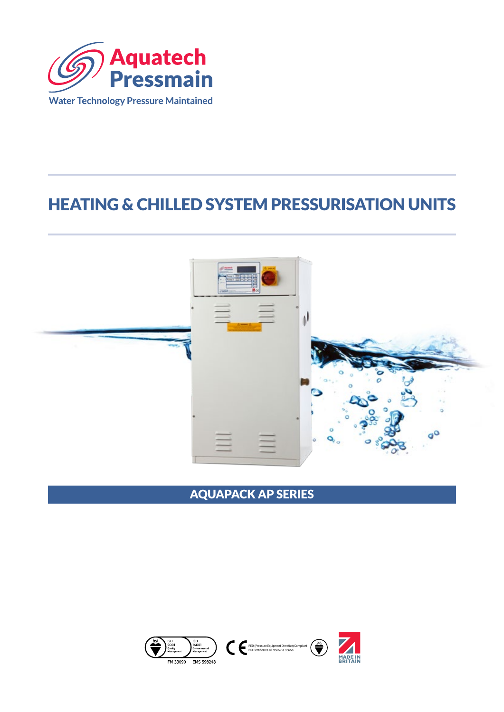

# HEATING & CHILLED SYSTEM PRESSURISATION UNITS



# AQUAPACK AP SERIES

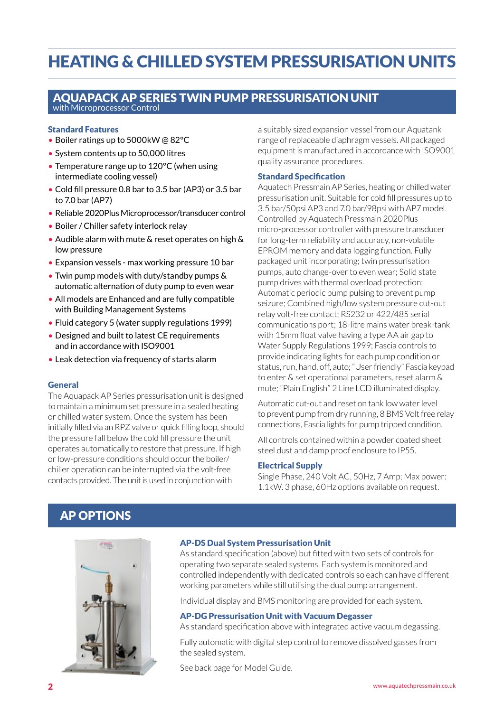# HEATING & CHILLED SYSTEM PRESSURISATION UNITS

### AQUAPACK AP SERIES TWIN PUMP PRESSURISATION UNIT with Microprocessor Control

### Standard Features

- Boiler ratings up to 5000kW @ 82°C
- System contents up to 50,000 litres
- Temperature range up to 120°C (when using intermediate cooling vessel)
- Cold fill pressure 0.8 bar to 3.5 bar (AP3) or 3.5 bar to 7.0 bar (AP7)
- Reliable 2020Plus Microprocessor/transducer control
- Boiler / Chiller safety interlock relay
- Audible alarm with mute & reset operates on high & low pressure
- Expansion vessels max working pressure 10 bar
- Twin pump models with duty/standby pumps & automatic alternation of duty pump to even wear
- All models are Enhanced and are fully compatible with Building Management Systems
- Fluid category 5 (water supply regulations 1999)
- Designed and built to latest CE requirements and in accordance with ISO9001
- Leak detection via frequency of starts alarm

### General

The Aquapack AP Series pressurisation unit is designed to maintain a minimum set pressure in a sealed heating or chilled water system. Once the system has been initially filled via an RPZ valve or quick filling loop, should the pressure fall below the cold fill pressure the unit operates automatically to restore that pressure. If high or low-pressure conditions should occur the boiler/ chiller operation can be interrupted via the volt-free contacts provided. The unit is used in conjunction with

a suitably sized expansion vessel from our Aquatank range of replaceable diaphragm vessels. All packaged equipment is manufactured in accordance with ISO9001 quality assurance procedures.

### Standard Specification

Aquatech Pressmain AP Series, heating or chilled water pressurisation unit. Suitable for cold fill pressures up to 3.5 bar/50psi AP3 and 7.0 bar/98psi with AP7 model. Controlled by Aquatech Pressmain 2020Plus micro-processor controller with pressure transducer for long-term reliability and accuracy, non-volatile EPROM memory and data logging function. Fully packaged unit incorporating; twin pressurisation pumps, auto change-over to even wear; Solid state pump drives with thermal overload protection; Automatic periodic pump pulsing to prevent pump seizure; Combined high/low system pressure cut-out relay volt-free contact; RS232 or 422/485 serial communications port; 18-litre mains water break-tank with 15mm float valve having a type AA air gap to Water Supply Regulations 1999; Fascia controls to provide indicating lights for each pump condition or status, run, hand, off, auto; "User friendly" Fascia keypad to enter & set operational parameters, reset alarm & mute; "Plain English" 2 Line LCD illuminated display.

Automatic cut-out and reset on tank low water level to prevent pump from dry running, 8 BMS Volt free relay connections, Fascia lights for pump tripped condition.

All controls contained within a powder coated sheet steel dust and damp proof enclosure to IP55.

#### Electrical Supply

Single Phase, 240 Volt AC, 50Hz, 7 Amp; Max power: 1.1kW. 3 phase, 60Hz options available on request.

## AP OPTIONS



### AP-DS Dual System Pressurisation Unit

As standard specification (above) but fitted with two sets of controls for operating two separate sealed systems. Each system is monitored and controlled independently with dedicated controls so each can have different working parameters while still utilising the dual pump arrangement.

Individual display and BMS monitoring are provided for each system.

### AP-DG Pressurisation Unit with Vacuum Degasser

As standard specification above with integrated active vacuum degassing.

Fully automatic with digital step control to remove dissolved gasses from the sealed system.

See back page for Model Guide.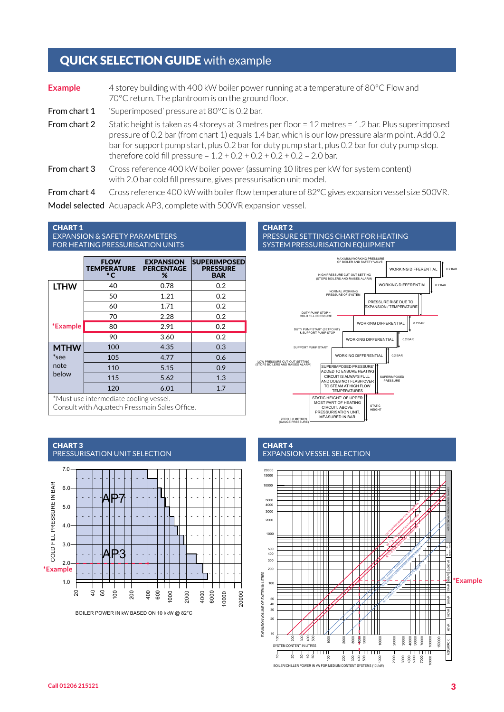# QUICK SELECTION GUIDE with example

| <b>Example</b> | 4 storey building with 400 kW boiler power running at a temperature of 80°C Flow and<br>70°C return. The plantroom is on the ground floor.                                                                                                                                                                                                                                               |
|----------------|------------------------------------------------------------------------------------------------------------------------------------------------------------------------------------------------------------------------------------------------------------------------------------------------------------------------------------------------------------------------------------------|
| From chart 1   | 'Superimposed' pressure at 80°C is 0.2 bar.                                                                                                                                                                                                                                                                                                                                              |
| From chart 2   | Static height is taken as 4 storeys at 3 metres per floor = $12$ metres = $1.2$ bar. Plus superimposed<br>pressure of 0.2 bar (from chart 1) equals 1.4 bar, which is our low pressure alarm point. Add 0.2<br>bar for support pump start, plus 0.2 bar for duty pump start, plus 0.2 bar for duty pump stop.<br>therefore cold fill pressure = $1.2 + 0.2 + 0.2 + 0.2 + 0.2 = 2.0$ bar. |
| From chart 3   | Cross reference 400 kW boiler power (assuming 10 litres per kW for system content)<br>with 2.0 bar cold fill pressure, gives pressurisation unit model.                                                                                                                                                                                                                                  |

From chart 4 Cross reference 400 kW with boiler flow temperature of 82°C gives expansion vessel size 500VR.

Model selected Aquapack AP3, complete with 500VR expansion vessel.

#### CHART 1 EXPANSION & SAFETY PARAMETERS FOR HEATING PRESSURISATION UNITS

|                                        | <b>FLOW</b><br><b>TEMPERATURE</b><br>$\circ$ C | <b>EXPANSION</b><br><b>PERCENTAGE</b><br>% | <b>SUPERIMPOSED</b><br><b>PRESSURE</b><br><b>BAR</b> |  |  |
|----------------------------------------|------------------------------------------------|--------------------------------------------|------------------------------------------------------|--|--|
| <b>LTHW</b>                            | 40                                             | 0.78                                       | 0.2                                                  |  |  |
|                                        | 50                                             | 1.21                                       | 0.2                                                  |  |  |
|                                        | 60                                             | 1.71                                       | 0.2                                                  |  |  |
|                                        | 70                                             | 2.28                                       | 0.2                                                  |  |  |
| *Example                               | 80                                             | 2.91                                       | 0.2                                                  |  |  |
|                                        | 90                                             | 3.60                                       | 0.2                                                  |  |  |
| <b>MTHW</b>                            | 100                                            | 4.35                                       | 0.3                                                  |  |  |
| *see                                   | 105                                            | 4.77                                       | 0.6                                                  |  |  |
| note                                   | 110                                            | 5.15                                       | 0.9                                                  |  |  |
| below                                  | 115                                            | 5.62                                       | 1.3                                                  |  |  |
|                                        | 120                                            | 6.01                                       | 1.7                                                  |  |  |
| *Must use intermediate cooling vessel. |                                                |                                            |                                                      |  |  |

Consult with Aquatech Pressmain Sales Office.



BOILER POWER IN kW BASED ON 10 l/kW @ 82°C

#### CHART 2 PRESSURE SETTINGS CHART FOR HEATING SYSTEM PRESSURISATION EQUIPMENT



### CHART 4

### EXPANSION VESSEL SELECTION

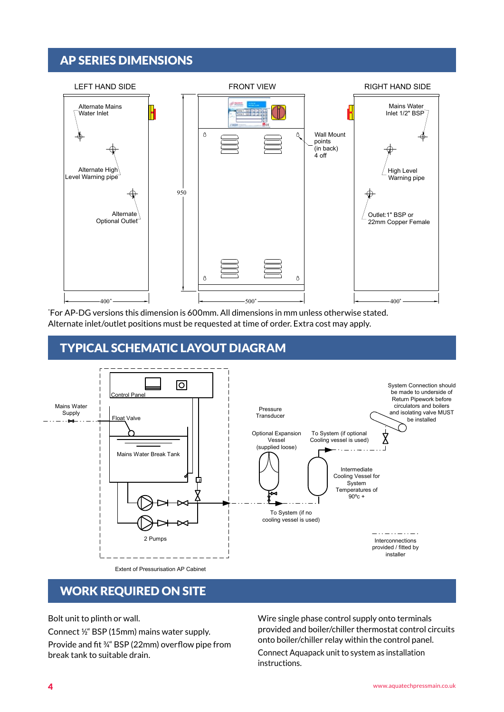# AP SERIES DIMENSIONS

1



 $2 \times 2$  3  $2 \times 2$  8  $2 \times 2$  9  $2 \times 2$  9  $2 \times 2$  9  $2 \times 2$  9  $2 \times 2$  9  $2 \times 2$  9  $2 \times 2$  9  $2 \times 2$  9  $2 \times 2$  9  $2 \times 2$  9  $2 \times 2$  9  $2 \times 2$  9  $2 \times 2$  9  $2 \times 2$  9  $2 \times 2$  9  $2 \times 2$  9  $2 \times 2$  9  $2 \times 2$  9  $2 \times 2$  9  $2 \times 2$  9

 $\mathcal{A} = \{A, B, C, D, \ldots, C, D, \ldots, C, D, \ldots, C, D, \ldots, C, D, \ldots, C, D, \ldots, C, D, \ldots, C, D, \ldots, C, D, \ldots, C, D, \ldots, C, D, \ldots, C, D, \ldots, C, D, \ldots, C, D, \ldots, C, D, \ldots, C, D, \ldots, C, D, \ldots, C, D, \ldots, C, D, \ldots, C, D, \ldots, C, D, \ldots, C, D, \ldots, C, D, \ldots, C, D, \ldots, C, D, \ldots, C, D, \ldots$ 

Alternate inlet/outlet positions must be requested at time of order. Extra cost may apply. For AP-DG versions this dimension is 600mm. All dimensions in mm unless otherwise stated. **AquaTech**

### Leaders in the design, manufacture and assembly of packaged fluid pumping equipment and controls for Cold water supply, Fighting, Fighting, Fighting, Pressurisation units, Tank monitors fighting, Tank monitors in the desig <u>.</u><br>Manchester and in the Separation of the Separation of the Separation of the Separation of the Separation of the



# WORK REQUIRED ON SITE

Bolt unit to plinth or wall.

Connect ½" BSP (15mm) mains water supply. Provide and fit ¾" BSP (22mm) overflow pipe from break tank to suitable drain.

Wire single phase control supply onto terminals while shighe phase sond or suppry once communistic provided and boiler/chiller thermostat control circuits AP CABINET MANCHESTER CONTROLLED TO A CONTROL THE CONTROL OF THE CONTROL OF THE CONTROL OF THE CONTROL OF THE CONTROL OF THE CONTROL OF THE CONTROL OF THE CONTROL OF THE CONTROL OF THE CONTROL OF THE CONTROL OF THE CONTROL

> Connect Aquapack unit to system as installation instructions.

AP Cabinet Sales Drawing

10

 $A_{\rm{max}}$  is part of the AGM. Plc Group of the AGM.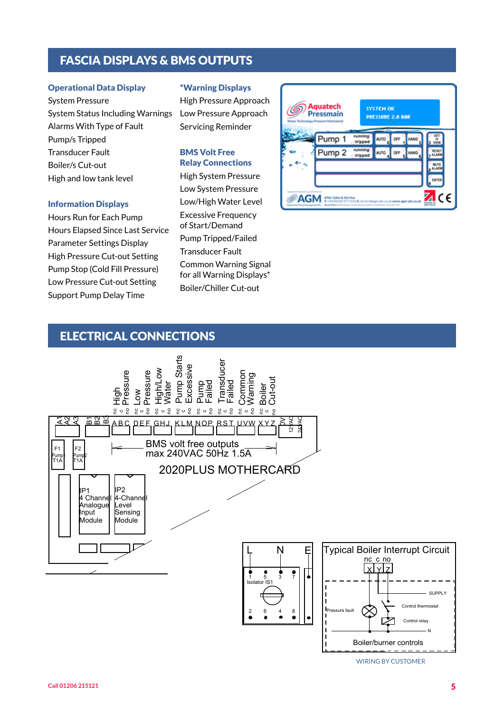# FASCIA DISPLAYS & BMS OUTPUTS

### Operational Data Display

System Pressure System Status Including Warnings Alarms With Type of Fault Pump/s Tripped Transducer Fault Boiler/s Cut-out High and low tank level

### Information Displays

Hours Run for Each Pump Hours Elapsed Since Last Service Parameter Settings Display High Pressure Cut-out Setting Pump Stop (Cold Fill Pressure) Low Pressure Cut-out Setting Support Pump Delay Time

### \*Warning Displays

High Pressure Approach Low Pressure Approach Servicing Reminder

### BMS Volt Free Relay Connections

High System Pressure Low System Pressure Low/High Water Level Excessive Frequency of Start/Demand Pump Tripped/Failed Transducer Fault Common Warning Signal for all Warning Displays\* Boiler/Chiller Cut-out



### ELECTRICAL CONNECTIONS